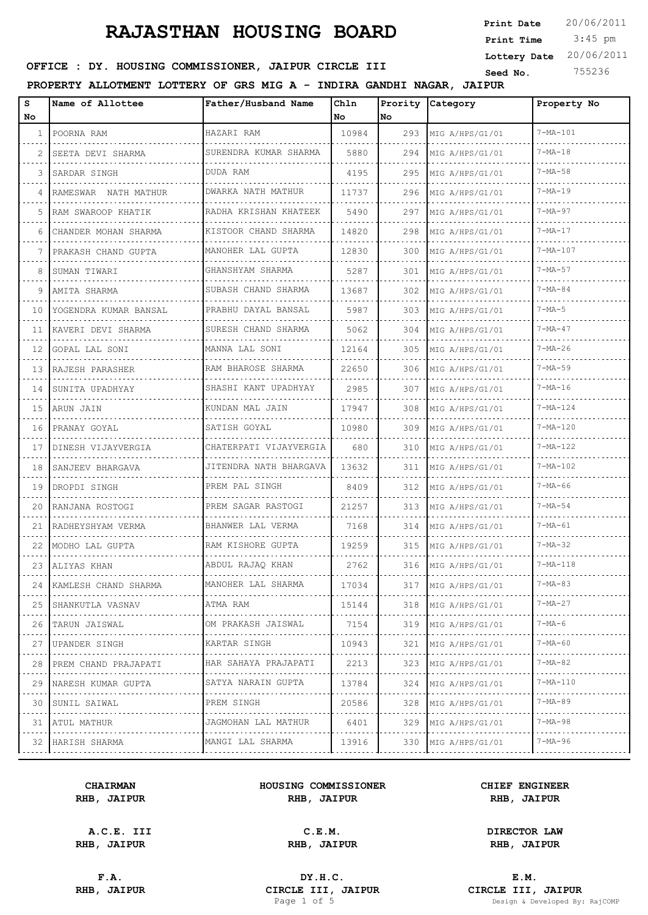3:45 pm **Print Date**  $20/06/2011$ **Print Time Lottery Date** 20/06/2011

## **SEED AND SEED ASSESSED SEED ASSESSED ASSESSED AT A TEXT COMMISSIONER, JAIPUR CIRCLE III** Seed No. 755236

#### **PROPERTY ALLOTMENT LOTTERY OF GRS MIG A - INDIRA GANDHI NAGAR, JAIPUR**

| s<br>No | Name of Allottee           | Father/Husband Name                | Ch1n<br>l No | Prority<br>No. | Category             | Property No        |
|---------|----------------------------|------------------------------------|--------------|----------------|----------------------|--------------------|
|         | 1 POORNA RAM               | HAZARI RAM                         | 10984        | 293            | MIG A/HPS/G1/01      | $7 - MA - 101$     |
| 2.      | SEETA DEVI SHARMA          | SURENDRA KUMAR SHARMA              | 5880         | 294            | MIG A/HPS/G1/01      | $7 - MA - 18$      |
| 3       | SARDAR SINGH               | DUDA RAM                           | 4195         | 295            | MIG A/HPS/G1/01      | $7 - MA - 58$      |
| 4       | RAMESWAR NATH MATHUR       | DWARKA NATH MATHUR                 | 11737        | 296            | MIG A/HPS/G1/01      | $7 - MA - 19$      |
| 5.      | RAM SWAROOP KHATIK         | RADHA KRISHAN KHATEEK              | 5490         | 297            | MIG A/HPS/G1/01      | $7 - MA - 97$      |
| 6       | CHANDER MOHAN SHARMA       | KISTOOR CHAND SHARMA               | 14820        | 298            | MIG A/HPS/G1/01      | $7 - MA - 17$      |
| 7       | PRAKASH CHAND GUPTA        | MANOHER LAL GUPTA                  | 12830        | 300            | MIG A/HPS/G1/01      | $7 - MA - 107$     |
| 8       | SUMAN TIWARI               | GHANSHYAM SHARMA                   | 5287         | 301            | MIG A/HPS/G1/01      | $7 - MA - 57$      |
| 9       | AMITA SHARMA               | SUBASH CHAND SHARMA                | 13687        | 302            | MIG A/HPS/G1/01      | $7 - MA - 84$      |
| 10      | IYOGENDRA KUMAR BANSAL     | PRABHU DAYAL BANSAL                | 5987         | 303            | MIG A/HPS/G1/01      | $7-MA-5$           |
|         | 11 KAVERI DEVI SHARMA      | SURESH CHAND SHARMA                | 5062         | 304            | MIG A/HPS/G1/01      | $7 - MA - 47$      |
| 12      | GOPAL LAL SONI             | MANNA LAL SONI                     | 12164        | 305            | MIG A/HPS/G1/01      | $7 - MA - 26$      |
| 13      | RAJESH PARASHER            | RAM BHAROSE SHARMA                 | 22650        | 306            | MIG A/HPS/G1/01      | $7 - MA - 59$      |
| 14      | SUNITA UPADHYAY            | SHASHI KANT UPADHYAY               | 2985         | 307            | MIG A/HPS/G1/01      | $7 - MA - 16$      |
| 15      | ARUN JAIN                  | KUNDAN MAL JAIN                    | 17947        | 308            | MIG A/HPS/G1/01      | $7 - MA - 124$     |
| 16      | PRANAY GOYAL               | SATISH GOYAL                       | 10980        | 309            | MIG A/HPS/G1/01      | $7 - MA - 120$     |
| 17      | DINESH VIJAYVERGIA         | CHATERPATI VIJAYVERGIA             | 680          | 310            | MIG A/HPS/G1/01      | $7 - MA - 122$     |
| 18      | SANJEEV BHARGAVA           | JITENDRA NATH BHARGAVA             | 13632        | 311            | MIG A/HPS/G1/01      | $7 - MA - 102$     |
| 19      | DROPDI SINGH               | PREM PAL SINGH                     | 8409         | 312            | MIG A/HPS/G1/01      | $7 - MA - 66$      |
| 20      | RANJANA ROSTOGI            | PREM SAGAR RASTOGI                 | 21257        | 313            | MIG A/HPS/G1/01      | $7 - MA - 54$      |
| 21      | RADHEYSHYAM VERMA          | BHANWER LAL VERMA                  | 7168         | 314            | MIG A/HPS/G1/01      | $7 - MA - 61$      |
| 22      | MODHO LAL GUPTA            | RAM KISHORE GUPTA                  | 19259        | 315            | MIG A/HPS/G1/01      | $7 - MA - 32$      |
|         | 23 ALIYAS KHAN             | ABDUL RAJAQ KHAN                   | 2762         | 316            | MIG A/HPS/G1/01      | $7 - MA - 118$     |
| 24      | KAMLESH CHAND SHARMA       | MANOHER LAL SHARMA                 | 17034        | 317            | MIG A/HPS/G1/01      | $7 - MA - 83$      |
|         | 25 SHANKUTLA VASNAV<br>.   | ATMA RAM                           | 15144        |                | 318 MIG A/HPS/G1/01  | $7 - MA - 27$      |
|         | 26 TARUN JAISWAL           | OM PRAKASH JAISWAL                 | 7154         | 319            | MIG A/HPS/G1/01      | $7 - MA - 6$       |
|         | .<br>27 JUPANDER SINGH     | .<br>KARTAR SINGH                  | 10943        | 321            | MIG A/HPS/G1/01<br>. | $7 - MA - 60$      |
|         | 28 PREM CHAND PRAJAPATI    | .<br>HAR SAHAYA PRAJAPATI          | 2213         | 323            | MIG A/HPS/G1/01      | $7 - MA - 82$      |
|         | .<br>29 NARESH KUMAR GUPTA | . <b>.</b> .<br>SATYA NARAIN GUPTA | 13784        | 324            | MIG A/HPS/G1/01      | $7 - MA - 110$     |
| 30      | .<br>SUNIL SAIWAL<br>.     | .<br>PREM SINGH<br>.               | 20586        | 328            | MIG A/HPS/G1/01      | $7 - MA - 89$      |
|         | 31   ATUL MATHUR           | JAGMOHAN LAL MATHUR<br>.           | 6401         | 329            | MIG A/HPS/G1/01      | $7 - MA - 98$      |
|         | 32 HARISH SHARMA           | MANGI LAL SHARMA                   | 13916        | 330            | MIG A/HPS/G1/01      | $7 - MA - 96$<br>. |

#### **CHAIRMAN HOUSING COMMISSIONER CHIEF ENGINEER RHB, JAIPUR RHB, JAIPUR RHB, JAIPUR**

**A.C.E. III C.E.M. DIRECTOR LAW**

**RHB, JAIPUR RHB, JAIPUR RHB, JAIPUR**

**F.A. DY.H.C. E.M. RHB, JAIPUR CIRCLE III, JAIPUR CIRCLE III, JAIPUR CIRCLE III, JAIPUR CIRCLE III, JAIPUR Page 1 of 5 Design & Developed By:** Design & Developed By: RajCOMP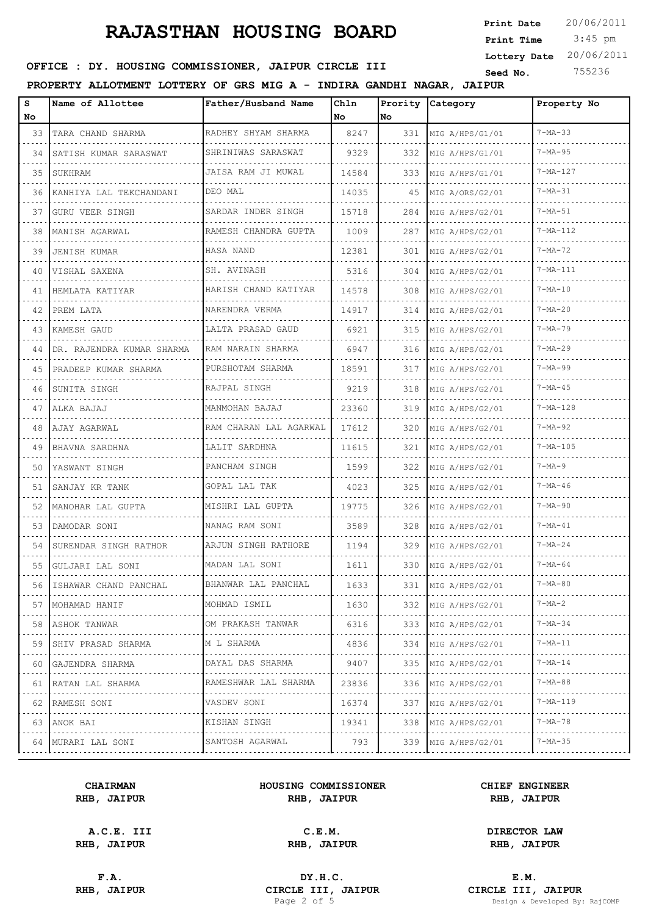3:45 pm **Print Date**  $20/06/2011$ **Print Time Lottery Date** 20/06/2011

## **SEED AND SEED ASSESSED SEED ASSESSED ASSESSED AT A TEXT COMMISSIONER, JAIPUR CIRCLE III** Seed No. 755236

### **PROPERTY ALLOTMENT LOTTERY OF GRS MIG A - INDIRA GANDHI NAGAR, JAIPUR**

| s<br>No | Name of Allottee          | Father/Husband Name       | Chln<br>No | No. | Prority Category     | Property No    |
|---------|---------------------------|---------------------------|------------|-----|----------------------|----------------|
| 33      | TARA CHAND SHARMA<br>.    | RADHEY SHYAM SHARMA       | 8247       | 331 | MIG A/HPS/G1/01      | $7 - MA - 33$  |
| 34      | SATISH KUMAR SARASWAT     | SHRINIWAS SARASWAT        | 9329       | 332 | MIG A/HPS/G1/01      | $7 - MA - 95$  |
| 35      | .<br>SUKHRAM              | JAISA RAM JI MUWAL        | 14584      | 333 | MIG A/HPS/G1/01      | $7 - MA - 127$ |
| 36      | KANHIYA LAL TEKCHANDANI   | DEO MAL                   | 14035      | 45  | MIG A/ORS/G2/01      | $7 - MA - 31$  |
| 37      | <b>GURU VEER SINGH</b>    | SARDAR INDER SINGH        | 15718      | 284 | MIG A/HPS/G2/01      | $7 - MA - 51$  |
| 38      | MANISH AGARWAL            | RAMESH CHANDRA GUPTA      | 1009       | 287 | MIG A/HPS/G2/01      | $7 - MA - 112$ |
| 39      | <b>JENISH KUMAR</b>       | HASA NAND                 | 12381      | 301 | MIG A/HPS/G2/01      | $7 - MA - 72$  |
| 40      | VISHAL SAXENA             | SH. AVINASH               | 5316       | 304 | MIG A/HPS/G2/01      | $7 - MA - 111$ |
| 41      | HEMLATA KATIYAR           | HARISH CHAND KATIYAR      | 14578      | 308 | MIG A/HPS/G2/01      | $7 - MA - 10$  |
| 42      | PREM LATA                 | NARENDRA VERMA            | 14917      | 314 | MIG A/HPS/G2/01      | $7 - MA - 20$  |
| 43      | KAMESH GAUD               | LALTA PRASAD GAUD         | 6921       | 315 | MIG A/HPS/G2/01      | $7 - MA - 79$  |
| 44      | DR. RAJENDRA KUMAR SHARMA | RAM NARAIN SHARMA         | 6947       | 316 | MIG A/HPS/G2/01      | $7 - MA - 29$  |
| 45      | PRADEEP KUMAR SHARMA      | PURSHOTAM SHARMA          | 18591      | 317 | MIG A/HPS/G2/01      | $7 - MA - 99$  |
| 46      | SUNITA SINGH              | RAJPAL SINGH              | 9219       | 318 | MIG A/HPS/G2/01      | $7 - MA - 45$  |
| 47      | ALKA BAJAJ                | MANMOHAN BAJAJ            | 23360      | 319 | MIG A/HPS/G2/01      | $7 - MA - 128$ |
| 48      | AJAY AGARWAL              | RAM CHARAN LAL AGARWAL    | 17612      | 320 | MIG A/HPS/G2/01      | $7 - MA - 92$  |
| 49      | BHAVNA SARDHNA            | LALIT SARDHNA             | 11615      | 321 | MIG A/HPS/G2/01      | 7-MA-105       |
| 50      | YASWANT SINGH             | PANCHAM SINGH             | 1599       | 322 | MIG A/HPS/G2/01      | $7 - MA - 9$   |
| 51      | SANJAY KR TANK            | GOPAL LAL TAK             | 4023       | 325 | MIG A/HPS/G2/01      | $7 - MA - 46$  |
| 52      | MANOHAR LAL GUPTA         | MISHRI LAL GUPTA          | 19775      | 326 | MIG A/HPS/G2/01      | $7 - MA - 90$  |
| 53      | DAMODAR SONI              | NANAG RAM SONI            | 3589       | 328 | MIG A/HPS/G2/01      | $7 - MA - 41$  |
| 54      | SURENDAR SINGH RATHOR     | ARJUN SINGH RATHORE       | 1194       | 329 | MIG A/HPS/G2/01      | $7 - MA - 24$  |
| 55      | GULJARI LAL SONI          | MADAN LAL SONI            | 1611       | 330 | MIG A/HPS/G2/01      | $7 - MA - 64$  |
| 56      | ISHAWAR CHAND PANCHAL     | BHANWAR LAL PANCHAL       | 1633       | 331 | MIG A/HPS/G2/01      | 7-MA-80        |
| 57      | MOHAMAD HANIF<br>.        | MOHMAD ISMIL<br>.         | 1630       | 332 | MIG A/HPS/G2/01<br>. | $7 - MA - 2$   |
| 58      | ASHOK TANWAR              | OM PRAKASH TANWAR         | 6316       | 333 | MIG A/HPS/G2/01      | $7 - MA - 34$  |
| 59      | SHIV PRASAD SHARMA        | M L SHARMA                | 4836       | 334 | MIG A/HPS/G2/01      | 7-MA-11        |
| 60      | GAJENDRA SHARMA           | .<br>DAYAL DAS SHARMA     | 9407       | 335 | .<br>MIG A/HPS/G2/01 | $7 - MA - 14$  |
| 61      | RATAN LAL SHARMA<br>.     | RAMESHWAR LAL SHARMA<br>. | 23836      | 336 | MIG A/HPS/G2/01<br>. | 7-MA-88        |
| 62      | RAMESH SONI               | VASDEV SONI               | 16374      | 337 | MIG A/HPS/G2/01      | 7-MA-119       |
| 63      | ANOK BAI                  | KISHAN SINGH<br>.         | 19341      | 338 | MIG A/HPS/G2/01      | 7-MA-78        |
| 64      | MURARI LAL SONI           | SANTOSH AGARWAL           | 793        | 339 | MIG A/HPS/G2/01      | $7 - MA - 35$  |

#### **CHAIRMAN HOUSING COMMISSIONER CHIEF ENGINEER RHB, JAIPUR RHB, JAIPUR RHB, JAIPUR**

**A.C.E. III C.E.M. DIRECTOR LAW**

**F.A. DY.H.C. E.M. RHB, JAIPUR CIRCLE III, JAIPUR CIRCLE III, JAIPUR CIRCLE III, JAIPUR Page 2** of 5

**RHB, JAIPUR RHB, JAIPUR RHB, JAIPUR**

Design & Developed By: RajCOMP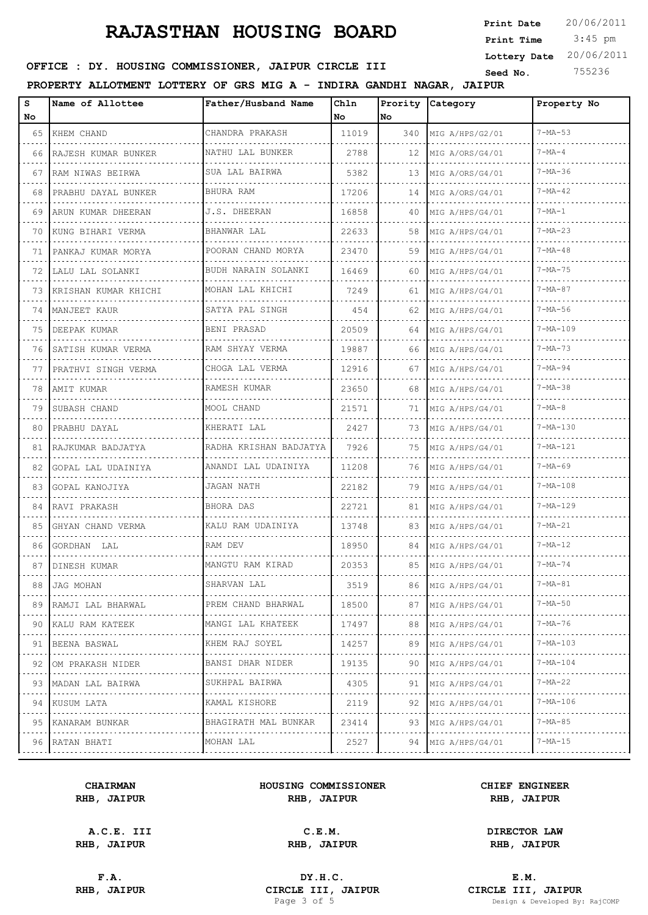3:45 pm **Print Date**  $20/06/2011$ **Print Time Lottery Date** 20/06/2011

## **SEED AND SEED ASSESSED SEED ASSESSED ASSESSED AT A TEXT COMMISSIONER, JAIPUR CIRCLE III** Seed No. 755236

### **PROPERTY ALLOTMENT LOTTERY OF GRS MIG A - INDIRA GANDHI NAGAR, JAIPUR**

| s<br>No | Name of Allottee         | Father/Husband Name      | Chln<br>l No | Prority<br>No. | Category                    | Property No    |
|---------|--------------------------|--------------------------|--------------|----------------|-----------------------------|----------------|
| 65      | KHEM CHAND               | CHANDRA PRAKASH          | 11019        | 340            | MIG A/HPS/G2/01             | $7 - MA - 53$  |
| 66      | RAJESH KUMAR BUNKER      | NATHU LAL BUNKER         | 2788         | 12             | MIG A/ORS/G4/01             | $7 - MA - 4$   |
| 67      | RAM NIWAS BEIRWA         | SUA LAL BAIRWA           | 5382         | 13             | MIG A/ORS/G4/01             | $7 - MA - 36$  |
| 68      | .<br>PRABHU DAYAL BUNKER | BHURA RAM                | 17206        | 14             | MIG A/ORS/G4/01             | $7 - MA - 42$  |
| 69      | ARUN KUMAR DHEERAN       | J.S. DHEERAN             | 16858        | 40             | MIG A/HPS/G4/01             | $7 - MA - 1$   |
| 70      | .<br>KUNG BIHARI VERMA   | BHANWAR LAL              | 22633        | 58             | MIG A/HPS/G4/01             | $7 - MA - 23$  |
| 71      | PANKAJ KUMAR MORYA       | POORAN CHAND MORYA       | 23470        | 59             | MIG A/HPS/G4/01             | $7 - MA - 48$  |
| 72      | LALU LAL SOLANKI         | BUDH NARAIN SOLANKI<br>. | 16469        | 60             | MIG A/HPS/G4/01             | $7 - MA - 75$  |
| 73      | KRISHAN KUMAR KHICHI     | MOHAN LAL KHICHI         | 7249         | 61             | MIG A/HPS/G4/01             | $7 - MA - 87$  |
| 74      | MANJEET KAUR             | SATYA PAL SINGH          | 454          | 62             | MIG A/HPS/G4/01             | $7 - MA - 56$  |
| 75      | DEEPAK KUMAR             | BENI PRASAD              | 20509        | 64             | MIG A/HPS/G4/01             | $7 - MA - 109$ |
| 76      | SATISH KUMAR VERMA       | RAM SHYAY VERMA          | 19887        | 66             | MIG A/HPS/G4/01             | $7 - MA - 73$  |
| 77      | PRATHVI SINGH VERMA      | CHOGA LAL VERMA          | 12916        | 67             | MIG A/HPS/G4/01             | $7 - MA - 94$  |
| 78      | AMIT KUMAR               | RAMESH KUMAR             | 23650        | 68             | MIG A/HPS/G4/01             | $7 - MA - 38$  |
| 79      | SUBASH CHAND             | MOOL CHAND               | 21571        | 71             | MIG A/HPS/G4/01             | $7 - MA - 8$   |
| 80      | PRABHU DAYAL             | KHERATI LAL              | 2427         | 73             | MIG A/HPS/G4/01             | $7 - MA - 130$ |
| 81      | RAJKUMAR BADJATYA        | RADHA KRISHAN BADJATYA   | 7926         | 75             | MIG A/HPS/G4/01             | $7 - MA - 121$ |
| 82      | GOPAL LAL UDAINIYA       | ANANDI LAL UDAINIYA      | 11208        | 76             | MIG A/HPS/G4/01             | $7 - MA - 69$  |
| 83      | GOPAL KANOJIYA           | JAGAN NATH               | 22182        | 79             | MIG A/HPS/G4/01             | 7-MA-108       |
| 84      | RAVI PRAKASH             | BHORA DAS                | 22721        | 81             | MIG A/HPS/G4/01             | 7-MA-129       |
| 85      | GHYAN CHAND VERMA        | KALU RAM UDAINIYA        | 13748        | 83             | MIG A/HPS/G4/01             | $7 - MA - 21$  |
| 86      | GORDHAN LAL              | RAM DEV                  | 18950        | 84             | MIG A/HPS/G4/01             | $7 - MA - 12$  |
| 87      | DINESH KUMAR             | MANGTU RAM KIRAD         | 20353        | 85             | MIG A/HPS/G4/01             | $7 - MA - 74$  |
| 88      | JAG MOHAN                | SHARVAN LAL              | 3519         | 86             | MIG A/HPS/G4/01             | 7-MA-81        |
| 89      | RAMJI LAL BHARWAL        | PREM CHAND BHARWAL       | 18500        | 87             | MIG A/HPS/G4/01             | $7 - MA - 50$  |
| 90      | KALU RAM KATEEK          | MANGI LAL KHATEEK        | 17497        | 88             | .<br>MIG A/HPS/G4/01        | $7 - MA - 76$  |
| 91      | BEENA BASWAL             | KHEM RAJ SOYEL           | 14257        | 89             | MIG A/HPS/G4/01             | $7 - MA - 103$ |
| 92      | .<br>OM PRAKASH NIDER    | .<br>BANSI DHAR NIDER    | 19135        | 90             | .<br>MIG A/HPS/G4/01        | 7-MA-104       |
| 93      | MADAN LAL BAIRWA         | SUKHPAL BAIRWA           | 4305         | 91             | MIG A/HPS/G4/01             | $7 - MA - 22$  |
| 94      | .<br>KUSUM LATA          | .<br>KAMAL KISHORE       | 2119         | 92             | <u>.</u><br>MIG A/HPS/G4/01 | $7 - MA - 106$ |
| 95      | KANARAM BUNKAR           | BHAGIRATH MAL BUNKAR     | 23414        | 93             | MIG A/HPS/G4/01             | $7 - MA - 85$  |
|         | .<br>96 RATAN BHATI      | .<br>MOHAN LAL           | 2527         |                | .<br>94   MIG A/HPS/G4/01   | $7 - MA - 15$  |

#### **CHAIRMAN HOUSING COMMISSIONER CHIEF ENGINEER RHB, JAIPUR RHB, JAIPUR RHB, JAIPUR**

**A.C.E. III C.E.M. DIRECTOR LAW**

**RHB, JAIPUR RHB, JAIPUR RHB, JAIPUR**

**F.A. DY.H.C. E.M. RHB, JAIPUR CIRCLE III, JAIPUR CIRCLE III, JAIPUR CIRCLE III, JAIPUR Page 3 of 5 Design & Developed By:** 

Design & Developed By: RajCOMP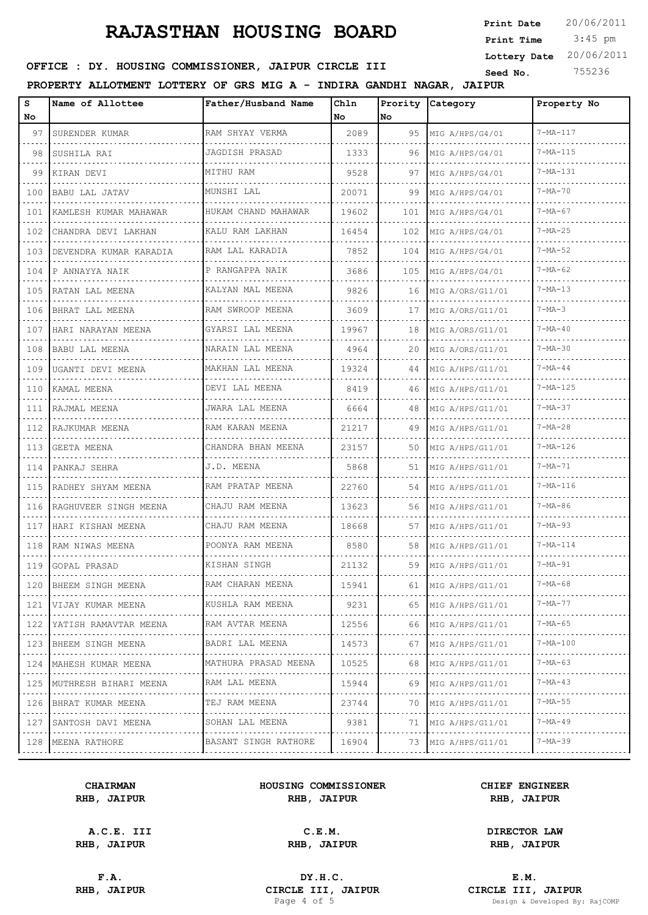3:45 pm **Print Date**  $20/06/2011$ **Print Time Lottery Date** 20/06/2011

## **SEED AND SEED ASSESSED SEED ASSESSED ASSESSED AT A TEXT COMMISSIONER, JAIPUR CIRCLE III** Seed No. 755236

### **PROPERTY ALLOTMENT LOTTERY OF GRS MIG A - INDIRA GANDHI NAGAR, JAIPUR**

| s<br>No                                                                                                                                                     | Name of Allottee           | Father/Husband Name  | Chln<br>No | Prority<br>No | Category              | Property No     |
|-------------------------------------------------------------------------------------------------------------------------------------------------------------|----------------------------|----------------------|------------|---------------|-----------------------|-----------------|
| 97                                                                                                                                                          | SURENDER KUMAR             | RAM SHYAY VERMA      | 2089       | 95            | MIG A/HPS/G4/01       | $7 - MA - 117$  |
| 98                                                                                                                                                          | SUSHILA RAI                | JAGDISH PRASAD       | 1333       | 96            | MIG A/HPS/G4/01       | $7 - MA - 115$  |
| 99                                                                                                                                                          | KIRAN DEVI                 | MITHU RAM            | 9528       | 97            | MIG A/HPS/G4/01       | $7 - MA - 1.31$ |
| 100                                                                                                                                                         | <b>BABU LAL JATAV</b>      | MUNSHI LAL           | 20071      | 99            | MIG A/HPS/G4/01       | $7 - MA - 70$   |
| 101                                                                                                                                                         | KAMLESH KUMAR MAHAWAR      | HUKAM CHAND MAHAWAR  | 19602      | 101           | MIG A/HPS/G4/01       | $7 - MA - 67$   |
| 102                                                                                                                                                         | CHANDRA DEVI LAKHAN        | KALU RAM LAKHAN      | 16454      | 102           | MIG A/HPS/G4/01       | $7 - MA - 25$   |
| 103                                                                                                                                                         | DEVENDRA KUMAR KARADIA     | RAM LAL KARADIA      | 7852       | 104           | MIG A/HPS/G4/01       | $7 - MA - 52$   |
| 104                                                                                                                                                         | P ANNAYYA NAIK             | P RANGAPPA NAIK      | 3686       | 105           | MIG A/HPS/G4/01       | $7 - MA - 62$   |
| 105                                                                                                                                                         | RATAN LAL MEENA            | KALYAN MAL MEENA     | 9826       | 16            | MIG A/ORS/G11/01      | $7 - MA - 13$   |
| 106                                                                                                                                                         | BHRAT LAL MEENA            | RAM SWROOP MEENA     | 3609       | 17            | MIG A/ORS/G11/01      | $7 - MA - 3$    |
| 107                                                                                                                                                         | HARI NARAYAN MEENA         | GYARSI LAL MEENA     | 19967      | 18            | MIG A/ORS/G11/01      | $7 - MA - 40$   |
| 108                                                                                                                                                         | BABU LAL MEENA             | NARAIN LAL MEENA     | 4964       | 20            | MIG A/ORS/G11/01      | $7 - MA - 30$   |
| 109                                                                                                                                                         | UGANTI DEVI MEENA          | MAKHAN LAL MEENA     | 19324      | 44            | MIG A/HPS/G11/01      | $7 - MA - 44$   |
| 110                                                                                                                                                         | KAMAL MEENA                | DEVI LAL MEENA       | 8419       | 46            | MIG A/HPS/G11/01      | $7 - MA - 125$  |
| 111                                                                                                                                                         | RAJMAL MEENA               | JWARA LAL MEENA      | 6664       | 48            | MIG A/HPS/G11/01      | $7 - MA - 37$   |
| 112                                                                                                                                                         | RAJKUMAR MEENA             | RAM KARAN MEENA      | 21217      | 49            | MIG A/HPS/G11/01      | $7 - MA - 28$   |
| 113                                                                                                                                                         | <b>GEETA MEENA</b>         | CHANDRA BHAN MEENA   | 23157      | 50            | MIG A/HPS/G11/01      | $7 - MA - 126$  |
| 114                                                                                                                                                         | PANKAJ SEHRA               | J.D. MEENA           | 5868       | 51            | MIG A/HPS/G11/01      | $7 - MA - 71$   |
| 115                                                                                                                                                         | RADHEY SHYAM MEENA         | RAM PRATAP MEENA     | 22760      | 54            | MIG A/HPS/G11/01      | $7 - MA - 116$  |
| 116                                                                                                                                                         | RAGHUVEER SINGH MEENA      | CHAJU RAM MEENA      | 13623      | 56            | MIG A/HPS/G11/01      | $7 - MA - 86$   |
| 117                                                                                                                                                         | HARI KISHAN MEENA          | CHAJU RAM MEENA      | 18668      | 57            | MIG A/HPS/G11/01      | $7 - MA - 93$   |
| 118                                                                                                                                                         | RAM NIWAS MEENA            | POONYA RAM MEENA     | 8580       | 58            | MIG A/HPS/G11/01      | $7 - MA - 114$  |
|                                                                                                                                                             | 119 GOPAL PRASAD           | KISHAN SINGH         | 21132      | 59            | MIG A/HPS/G11/01      | $7 - MA - 91$   |
| 120                                                                                                                                                         | BHEEM SINGH MEENA          | RAM CHARAN MEENA     | 15941      | 61            | MIG A/HPS/G11/01      | 7-MA-68         |
| 121<br>$\frac{1}{2} \left( \begin{array}{ccc} 1 & 0 & 0 \\ 0 & 0 & 0 \\ 0 & 0 & 0 \end{array} \right)$                                                      | VIJAY KUMAR MEENA          | KUSHLA RAM MEENA     | 9231       | 65            | MIG A/HPS/G11/01      | $7 - MA - 77$   |
| 122                                                                                                                                                         | YATISH RAMAVTAR MEENA      | RAM AVTAR MEENA      | 12556      | 66            | MIG A/HPS/G11/01      | $7 - MA - 65$   |
| 123<br>$\cdots$                                                                                                                                             | BHEEM SINGH MEENA<br>.     | BADRI LAL MEENA<br>. | 14573      | 67            | MIG A/HPS/G11/01<br>. | 7-MA-100        |
| 124<br>$\frac{1}{2} \left( \frac{1}{2} \right) \left( \frac{1}{2} \right) \left( \frac{1}{2} \right) \left( \frac{1}{2} \right)$                            | MAHESH KUMAR MEENA         | MATHURA PRASAD MEENA | 10525      | 68            | MIG A/HPS/G11/01      | $7 - MA - 63$   |
| 125<br>$\frac{1}{2} \left( \frac{1}{2} \right) \left( \frac{1}{2} \right) \left( \frac{1}{2} \right) \left( \frac{1}{2} \right) \left( \frac{1}{2} \right)$ | MUTHRESH BIHARI MEENA<br>. | RAM LAL MEENA        | 15944      | 69            | MIG A/HPS/G11/01<br>. | $7 - MA - 43$   |
| 126<br>$\frac{1}{2} \left( \frac{1}{2} \right) \left( \frac{1}{2} \right) \left( \frac{1}{2} \right) \left( \frac{1}{2} \right)$                            | BHRAT KUMAR MEENA          | TEJ RAM MEENA        | 23744      | 70            | MIG A/HPS/G11/01      | $7 - MA - 55$   |
| 127<br>$\mathbf{1} \cdot \mathbf{1} \cdot \mathbf{1} \cdot \mathbf{1} \cdot \mathbf{1}$                                                                     | SANTOSH DAVI MEENA         | SOHAN LAL MEENA<br>. | 9381       | 71            | MIG A/HPS/G11/01      | $7 - MA - 49$   |
|                                                                                                                                                             | 128   MEENA RATHORE        | BASANT SINGH RATHORE | 16904      | 73            | MIG A/HPS/G11/01      | $7 - MA - 39$   |

#### **CHAIRMAN HOUSING COMMISSIONER CHIEF ENGINEER RHB, JAIPUR RHB, JAIPUR RHB, JAIPUR**

**A.C.E. III C.E.M. DIRECTOR LAW**

**RHB, JAIPUR RHB, JAIPUR RHB, JAIPUR**

**F.A. DY.H.C. E.M. RHB, JAIPUR CIRCLE III, JAIPUR CIRCLE III, JAIPUR CIRCLE III, JAIPUR Page 4 of 5 Design & Developed By:** Design & Developed By: RajCOMP